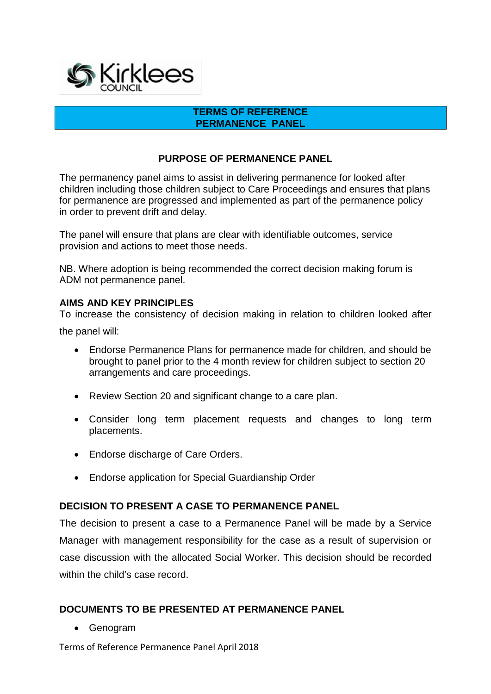

#### **TERMS OF REFERENCE PERMANENCE PANEL**

#### **PURPOSE OF PERMANENCE PANEL**

The permanency panel aims to assist in delivering permanence for looked after children including those children subject to Care Proceedings and ensures that plans for permanence are progressed and implemented as part of the permanence policy in order to prevent drift and delay.

The panel will ensure that plans are clear with identifiable outcomes, service provision and actions to meet those needs.

NB. Where adoption is being recommended the correct decision making forum is ADM not permanence panel.

#### **AIMS AND KEY PRINCIPLES**

To increase the consistency of decision making in relation to children looked after

the panel will:

- Endorse Permanence Plans for permanence made for children, and should be brought to panel prior to the 4 month review for children subject to section 20 arrangements and care proceedings.
- Review Section 20 and significant change to a care plan.
- Consider long term placement requests and changes to long term placements.
- Endorse discharge of Care Orders.
- Endorse application for Special Guardianship Order

#### **DECISION TO PRESENT A CASE TO PERMANENCE PANEL**

The decision to present a case to a Permanence Panel will be made by a Service Manager with management responsibility for the case as a result of supervision or case discussion with the allocated Social Worker. This decision should be recorded within the child's case record.

#### **DOCUMENTS TO BE PRESENTED AT PERMANENCE PANEL**

• Genogram

Terms of Reference Permanence Panel April 2018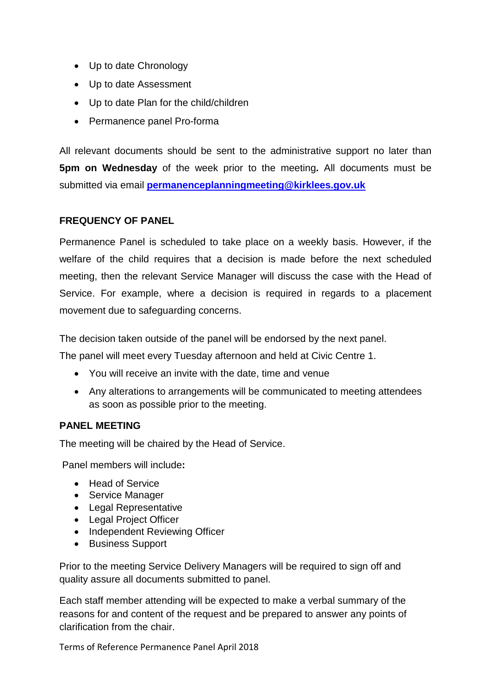- Up to date Chronology
- Up to date Assessment
- Up to date Plan for the child/children
- Permanence panel Pro-forma

All relevant documents should be sent to the administrative support no later than **5pm on Wednesday** of the week prior to the meeting**.** All documents must be submitted via email **[permanenceplanningmeeting@kirklees.gov.uk](mailto:permanenceplanningmeeting@kirklees.gov.uk)**

# **FREQUENCY OF PANEL**

Permanence Panel is scheduled to take place on a weekly basis. However, if the welfare of the child requires that a decision is made before the next scheduled meeting, then the relevant Service Manager will discuss the case with the Head of Service. For example, where a decision is required in regards to a placement movement due to safeguarding concerns.

The decision taken outside of the panel will be endorsed by the next panel.

The panel will meet every Tuesday afternoon and held at Civic Centre 1.

- You will receive an invite with the date, time and venue
- Any alterations to arrangements will be communicated to meeting attendees as soon as possible prior to the meeting.

# **PANEL MEETING**

The meeting will be chaired by the Head of Service.

Panel members will include**:** 

- Head of Service
- Service Manager
- Legal Representative
- Legal Project Officer
- Independent Reviewing Officer
- Business Support

Prior to the meeting Service Delivery Managers will be required to sign off and quality assure all documents submitted to panel.

Each staff member attending will be expected to make a verbal summary of the reasons for and content of the request and be prepared to answer any points of clarification from the chair.

Terms of Reference Permanence Panel April 2018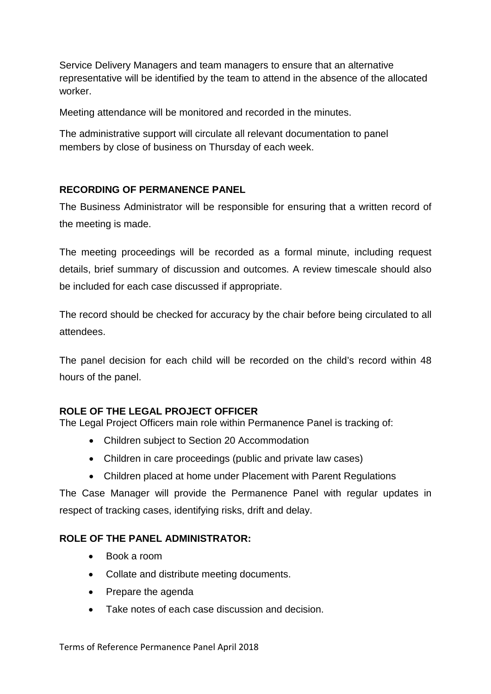Service Delivery Managers and team managers to ensure that an alternative representative will be identified by the team to attend in the absence of the allocated worker.

Meeting attendance will be monitored and recorded in the minutes.

The administrative support will circulate all relevant documentation to panel members by close of business on Thursday of each week.

# **RECORDING OF PERMANENCE PANEL**

The Business Administrator will be responsible for ensuring that a written record of the meeting is made.

The meeting proceedings will be recorded as a formal minute, including request details, brief summary of discussion and outcomes. A review timescale should also be included for each case discussed if appropriate.

The record should be checked for accuracy by the chair before being circulated to all attendees.

The panel decision for each child will be recorded on the child's record within 48 hours of the panel.

# **ROLE OF THE LEGAL PROJECT OFFICER**

The Legal Project Officers main role within Permanence Panel is tracking of:

- Children subject to Section 20 Accommodation
- Children in care proceedings (public and private law cases)
- Children placed at home under Placement with Parent Regulations

The Case Manager will provide the Permanence Panel with regular updates in respect of tracking cases, identifying risks, drift and delay.

# **ROLE OF THE PANEL ADMINISTRATOR:**

- Book a room
- Collate and distribute meeting documents.
- Prepare the agenda
- Take notes of each case discussion and decision.